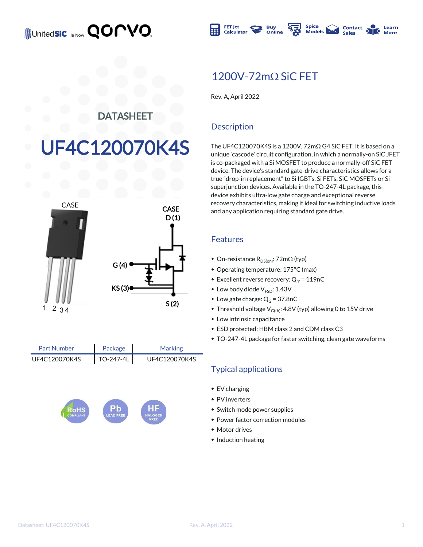

### 1200V-72mO SiC FFT

Rev. A, April 2022

#### DATASHEET

# F4C120070K4S



Package TO-247-4L Part Number Marking UF4C120070K4S | TO-247-4L | UF4C120070K4S



#### **Description**

The UF4C120070K4S is a 1200V,  $72 \text{m}\Omega$  G4 SiC FET. It is based on a unique 'cascode' circuit configuration, in which a normally-on SiC JFET is co-packaged with a Si MOSFET to produce a normally-off SiC FET device. The device's standard gate-drive characteristics allows for a true "drop-in replacement" to Si IGBTs, Si FETs, SiC MOSFETs or Si superjunction devices. Available in the TO-247-4L package, this device exhibits ultra-low gate charge and exceptional reverse recovery characteristics, making it ideal for switching inductive loads and any application requiring standard gate drive.

#### Features

- On-resistance  $R_{DS(on)}$ : 72m $\Omega$  (typ)
- \* Operating temperature: 175°C (max)
- **Excellent reverse recovery: Q<sub>rr</sub> = 119nC**
- $\bullet$  Low body diode  $V_{\text{FSD}}$ : 1.43V
- $\bullet$  Low gate charge:  $Q_G = 37.8nC$
- $\bullet$  Threshold voltage V<sub>G(th)</sub>: 4.8V (typ) allowing 0 to 15V drive
- $\bullet$  Low intrinsic capacitance
- $\bullet$  ESD protected: HBM class 2 and CDM class C3
- \* TO-247-4L package for faster switching, clean gate waveforms

#### Typical applications

- $\cdot$  EV charging
- $\bullet$  PV inverters
- Switch mode power supplies
- Power factor correction modules
- Motor drives
- $\bullet$  Induction heating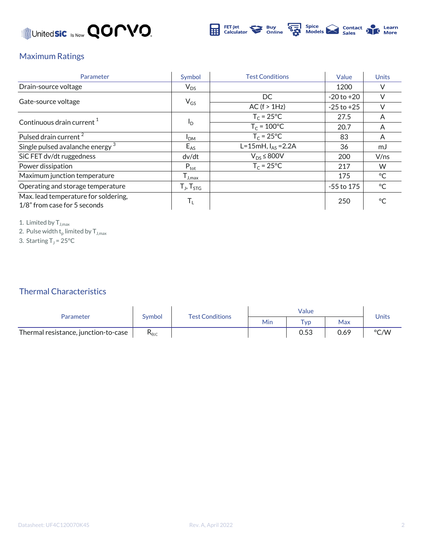



#### Maximum Ratings

| Parameter                                                            | Symbol                     | <b>Test Conditions</b> | Value          | <b>Units</b> |
|----------------------------------------------------------------------|----------------------------|------------------------|----------------|--------------|
| Drain-source voltage                                                 | $\mathsf{V}_{\mathsf{DS}}$ |                        | 1200           |              |
|                                                                      |                            | DC.                    | $-20$ to $+20$ |              |
| Gate-source voltage                                                  | $V_{GS}$                   | AC (f > 1Hz)           | $-25$ to $+25$ |              |
|                                                                      |                            | $T_c = 25^{\circ}C$    | 27.5           | A            |
| Continuous drain current $1$                                         | <sup>I</sup> D             | $T_c = 100^{\circ}C$   | 20.7           | A            |
| Pulsed drain current <sup>2</sup>                                    | I <sub>DM</sub>            | $T_c = 25^{\circ}C$    | 83             | A            |
| Single pulsed avalanche energy <sup>3</sup>                          | $E_{AS}$                   | L=15mH, $I_{AS}$ =2.2A | 36             | mJ           |
| SiC FET dv/dt ruggedness                                             | dv/dt                      | $V_{DS}$ $\leq$ 800V   | 200            | V/ns         |
| Power dissipation                                                    | $P_{\text{tot}}$           | $T_c = 25^{\circ}C$    | 217            | W            |
| Maximum junction temperature                                         | $I_{J,max}$                |                        | 175            | °C           |
| Operating and storage temperature                                    | $T_{J}$ , $T_{STG}$        |                        | $-55$ to 175   | $^{\circ}$ C |
| Max. lead temperature for soldering,<br>1/8" from case for 5 seconds | T,                         |                        | 250            | ∘∼           |

1. Limited by  $T_{J,max}$ 

2. Pulse width  $\mathsf{t}_\mathsf{p}$  limited by  $\mathsf{T}_{\mathsf{J},\mathsf{max}}$ 

3. Starting  $T_J = 25^{\circ}C$ 

### Thermal Characteristics

| Parameter                            | Symbol             | <b>Test Conditions</b> |     |                 |      |       |
|--------------------------------------|--------------------|------------------------|-----|-----------------|------|-------|
|                                      |                    |                        | Min | T <sub>VD</sub> | Max  | Units |
| Thermal resistance, junction-to-case | $\mathsf{R}_{0$ jc |                        |     | 0.53            | 0.69 | °C/W  |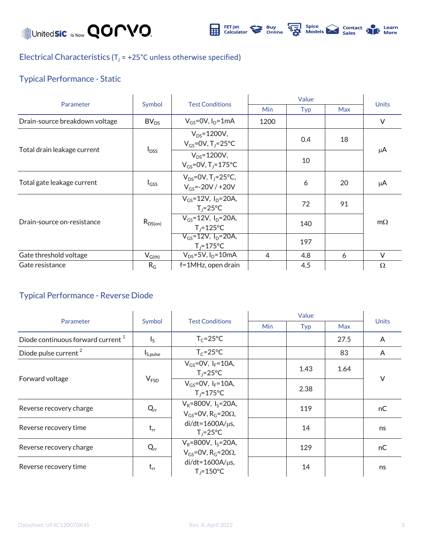

Electrical Characteristics ( $T_J$  = +25°C unless otherwise specified)

### Typical Performance - Static

| Parameter                      | Symbol           | <b>Test Conditions</b>                                          | Value      |     |            |              |
|--------------------------------|------------------|-----------------------------------------------------------------|------------|-----|------------|--------------|
|                                |                  |                                                                 | <b>Min</b> | Typ | <b>Max</b> | <b>Units</b> |
| Drain-source breakdown voltage | BV <sub>DS</sub> | $V_{GS}$ =0V, $I_D$ =1mA                                        | 1200       |     |            | V            |
| Total drain leakage current    | $I_{DSS}$        | $V_{DS} = 1200V,$<br>$V_{GS}$ =0V, T <sub>J</sub> =25°C         |            | 0.4 | 18         | μA           |
|                                |                  | $V_{DS} = 1200V,$<br>$V_{GS} = 0V$ , T <sub>J</sub> =175°C      |            | 10  |            |              |
| Total gate leakage current     | $I_{GSS}$        | $V_{DS} = 0V$ , T <sub>J</sub> =25°C,<br>$V_{GS} = -20V / +20V$ |            | 6   | 20         | μA           |
| Drain-source on-resistance     | $R_{DS(on)}$     | $V_{GS} = 12V$ , $I_D = 20A$ ,<br>$T_i = 25^{\circ}C$           |            | 72  | 91         | $m\Omega$    |
|                                |                  | $V_{GS} = 12V$ , $I_D = 20A$ ,<br>$T_i = 125$ °C                |            | 140 |            |              |
|                                |                  | $V_{GS} = 12V$ , $I_{D} = 20A$ ,<br>$T_i = 175$ °C              |            | 197 |            |              |
| Gate threshold voltage         | $V_{G(th)}$      | $V_{DS} = 5V$ , $I_D = 10mA$                                    | 4          | 4.8 | 6          | V            |
| Gate resistance                | $R_G$            | f=1MHz, open drain                                              |            | 4.5 |            | $\Omega$     |

#### Typical Performance - Reverse Diode

| Parameter                                     | Symbol           | <b>Test Conditions</b>                                                      |            |      |      |              |
|-----------------------------------------------|------------------|-----------------------------------------------------------------------------|------------|------|------|--------------|
|                                               |                  |                                                                             | <b>Min</b> | Typ  | Max  | <b>Units</b> |
| Diode continuous forward current <sup>1</sup> | $I_S$            | $T_c = 25^{\circ}C$                                                         |            |      | 27.5 | A            |
| Diode pulse current <sup>2</sup>              | $I_{S,pulse}$    | $T_c = 25$ °C                                                               |            |      | 83   | A            |
| Forward voltage                               | V <sub>FSD</sub> | $V_{GS} = 0V$ , $I_F = 10A$ ,<br>$T_1 = 25^{\circ}C$                        |            | 1.43 | 1.64 | $\vee$       |
|                                               |                  | $V_{GS} = 0V$ , $I_F = 10A$ ,<br>$T_i = 175^{\circ}C$                       |            | 2.38 |      |              |
| Reverse recovery charge                       | $Q_{rr}$         | $V_R = 800V$ , $I_S = 20A$ ,<br>$V_{GS}$ =0V, R <sub>G</sub> =20 $\Omega$ , |            | 119  |      | nC           |
| Reverse recovery time                         | $t_{rr}$         | $di/dt = 1600A/\mu s$ ,<br>$T_1 = 25^{\circ}C$                              |            | 14   |      | ns           |
| Reverse recovery charge                       | $Q_{rr}$         | $V_R = 800V$ , $I_S = 20A$ ,<br>$V_{GS}$ =0V, R <sub>G</sub> =20 $\Omega$ , |            | 129  |      | nC           |
| Reverse recovery time                         | $t_{rr}$         | $di/dt = 1600A/\mu s$ ,<br>$T_i = 150^{\circ}C$                             |            | 14   |      | ns           |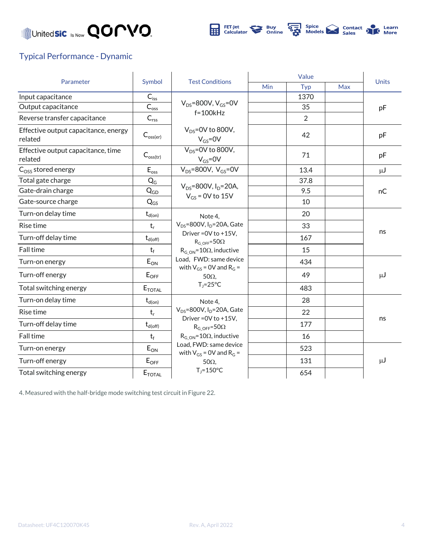

#### Typical Performance - Dynamic

| Parameter                                       | Symbol                      | <b>Test Conditions</b>                                                                                                                                                                                                                 | Value      |      |            |              |
|-------------------------------------------------|-----------------------------|----------------------------------------------------------------------------------------------------------------------------------------------------------------------------------------------------------------------------------------|------------|------|------------|--------------|
|                                                 |                             |                                                                                                                                                                                                                                        | <b>Min</b> | Typ  | <b>Max</b> | <b>Units</b> |
| Input capacitance                               | $C_{is\underline{s}}$       | $V_{DS}$ =800V, $V_{GS}$ =0V                                                                                                                                                                                                           |            | 1370 |            | pF           |
| Output capacitance                              | $C_{\rm{oss}}$              |                                                                                                                                                                                                                                        |            | 35   |            |              |
| Reverse transfer capacitance                    | $\mathsf{C}_{\mathsf{rss}}$ | $f = 100kHz$                                                                                                                                                                                                                           |            | 2    |            |              |
| Effective output capacitance, energy<br>related | $C_{\text{oss(er)}}$        | $V_{DS}$ =0V to 800V,<br>$V_{GS} = 0V$                                                                                                                                                                                                 |            | 42   |            | pF           |
| Effective output capacitance, time<br>related   | $C_{\text{oss(tr)}}$        | $V_{DS} = 0V$ to 800V,<br>$V_{GS} = 0V$                                                                                                                                                                                                |            | 71   |            | pF           |
| $C_{OSS}$ stored energy                         | $E_{\text{oss}}$            | $V_{DS}$ =800V, $V_{GS}$ =0V                                                                                                                                                                                                           |            | 13.4 |            | $\mu$ J      |
| Total gate charge                               | $Q_G$                       | $V_{DS} = 800V$ , $I_D = 20A$ ,<br>$V_{GS}$ = 0V to 15V                                                                                                                                                                                |            | 37.8 |            | nC           |
| Gate-drain charge                               | $Q_{GD}$                    |                                                                                                                                                                                                                                        |            | 9.5  |            |              |
| Gate-source charge                              | $Q_{GS}$                    |                                                                                                                                                                                                                                        |            | 10   |            |              |
| Turn-on delay time                              | $t_{d(on)}$                 | Note 4.<br>$V_{DS}$ =800V, I <sub>D</sub> =20A, Gate<br>Driver = 0V to +15V.<br>$R_{G \text{ OFF}} = 50\Omega$<br>$R_{G ON} = 10\Omega$ , inductive<br>Load, FWD: same device<br>with $V_{GS}$ = 0V and R <sub>G</sub> =<br>$50\Omega$ |            | 20   |            | ns           |
| Rise time                                       | $t_r$                       |                                                                                                                                                                                                                                        |            | 33   |            |              |
| Turn-off delay time                             | $t_{d(\rm off)}$            |                                                                                                                                                                                                                                        |            | 167  |            |              |
| Fall time                                       | $t_f$                       |                                                                                                                                                                                                                                        |            | 15   |            |              |
| Turn-on energy                                  | $E_{ON}$                    |                                                                                                                                                                                                                                        |            | 434  |            | μJ           |
| Turn-off energy                                 | $E_{OFF}$                   |                                                                                                                                                                                                                                        |            | 49   |            |              |
| Total switching energy                          | $E_{\text{TOTAL}}$          | $T_1 = 25^{\circ}C$                                                                                                                                                                                                                    |            | 483  |            |              |
| Turn-on delay time                              | $t_{d(on)}$                 | Note 4,                                                                                                                                                                                                                                |            | 28   |            |              |
| <b>Rise time</b>                                | $t_r$                       | $V_{DS}$ =800V, I <sub>D</sub> =20A, Gate<br>Driver = 0V to +15V,<br>$R_G$ <sub>OFF</sub> =50 $\Omega$<br>$R_{G ON} = 10\Omega$ , inductive<br>Load, FWD: same device<br>with $V_{GS}$ = 0V and R <sub>G</sub> =                       |            | 22   |            | ns           |
| Turn-off delay time                             | $t_{d(\mathsf{off})}$       |                                                                                                                                                                                                                                        |            | 177  |            |              |
| Fall time                                       | $t_f$                       |                                                                                                                                                                                                                                        |            | 16   |            |              |
| Turn-on energy                                  | $E_{ON}$                    |                                                                                                                                                                                                                                        |            | 523  |            |              |
| Turn-off energy                                 | $E_{OFF}$                   | $50\Omega$                                                                                                                                                                                                                             |            | 131  |            | $\mu$ J      |
| Total switching energy                          | $E_{\text{TOTAL}}$          | $T_i = 150^{\circ}C$                                                                                                                                                                                                                   |            | 654  |            |              |

4. Measured with the half-bridge mode switching test circuit in Figure 22.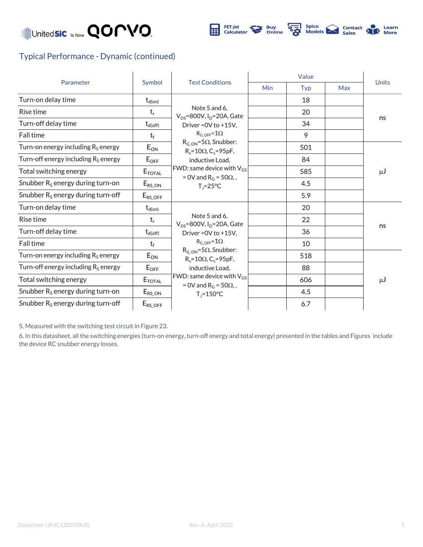



#### Typical Performance - Dynamic (continued)

| Parameter                              | Symbol                   | <b>Test Conditions</b>                                                                                                                                                                                                                                                                                                          | Value |     |            |              |
|----------------------------------------|--------------------------|---------------------------------------------------------------------------------------------------------------------------------------------------------------------------------------------------------------------------------------------------------------------------------------------------------------------------------|-------|-----|------------|--------------|
|                                        |                          |                                                                                                                                                                                                                                                                                                                                 | Min   | Typ | <b>Max</b> | <b>Units</b> |
| Turn-on delay time                     | $\mathsf{t}_{\sf d(on)}$ | Note 5 and 6.<br>$V_{DS}$ =800V, I <sub>D</sub> =20A, Gate<br>Driver = $0V$ to $+15V$ .<br>$R_{G \text{ OFF}} = 1\Omega$<br>$R_{G ON} = 5\Omega$ , Snubber:<br>$R_s = 10\Omega$ , C <sub>s</sub> =95pF,<br>inductive Load,<br>FWD: same device with $V_{GS}$<br>= 0V and $R_G$ = 50 $\Omega$ ,<br>$T_i = 25^{\circ}C$           |       | 18  |            | ns           |
| Rise time                              | $t_r$                    |                                                                                                                                                                                                                                                                                                                                 |       | 20  |            |              |
| Turn-off delay time                    | $t_{d(\text{off})}$      |                                                                                                                                                                                                                                                                                                                                 |       | 34  |            |              |
| <b>Fall time</b>                       | $t_f$                    |                                                                                                                                                                                                                                                                                                                                 |       | 9   |            |              |
| Turn-on energy including $R_S$ energy  | $E_{ON}$                 |                                                                                                                                                                                                                                                                                                                                 |       | 501 |            | لىر          |
| Turn-off energy including $R_s$ energy | $E_{OFF}$                |                                                                                                                                                                                                                                                                                                                                 |       | 84  |            |              |
| Total switching energy                 | $E_{\text{TOTAL}}$       |                                                                                                                                                                                                                                                                                                                                 |       | 585 |            |              |
| Snubber $R_s$ energy during turn-on    | $E_{RS\_ON}$             |                                                                                                                                                                                                                                                                                                                                 |       | 4.5 |            |              |
| Snubber $R_s$ energy during turn-off   | $E_{RS\_OFF}$            |                                                                                                                                                                                                                                                                                                                                 |       | 5.9 |            |              |
| Turn-on delay time                     | $t_{d(on)}$              |                                                                                                                                                                                                                                                                                                                                 |       | 20  |            |              |
| Rise time                              | $t_r$                    | Note 5 and 6,<br>$V_{DS}$ =800V, I <sub>D</sub> =20A, Gate<br>Driver = $0V$ to $+15V$ .<br>$R_{G \text{ OFF}} = 1\Omega$<br>$R_{G ON} = 5\Omega$ , Snubber:<br>$R_s = 10\Omega$ , C <sub>s</sub> =95pF,<br>inductive Load,<br>FWD: same device with $V_{GS}$<br>= 0V and R <sub>G</sub> = 50 $\Omega$ ,<br>$T_1 = 150^{\circ}C$ |       | 22  |            |              |
| Turn-off delay time                    | $t_{d(\rm off)}$         |                                                                                                                                                                                                                                                                                                                                 |       | 36  |            | ns           |
| Fall time                              | $t_f$                    |                                                                                                                                                                                                                                                                                                                                 |       | 10  |            |              |
| Turn-on energy including $R_s$ energy  | $E_{ON}$                 |                                                                                                                                                                                                                                                                                                                                 |       | 518 |            |              |
| Turn-off energy including $R_s$ energy | $E_{OFF}$                |                                                                                                                                                                                                                                                                                                                                 |       | 88  |            | $\mu$ J      |
| Total switching energy                 | $E_{\textnormal{total}}$ |                                                                                                                                                                                                                                                                                                                                 |       | 606 |            |              |
| Snubber $R_s$ energy during turn-on    | $E_{RS\_ON}$             |                                                                                                                                                                                                                                                                                                                                 |       | 4.5 |            |              |
| Snubber $R_s$ energy during turn-off   | $E_{RS\_OFF}$            |                                                                                                                                                                                                                                                                                                                                 |       | 6.7 |            |              |

5. Measured with the switching test circuit in Figure 23.

6. In this datasheet, all the switching energies (turn-on energy, turn-off energy and total energy) presented in the tables and Figures include the device RC snubber energy losses.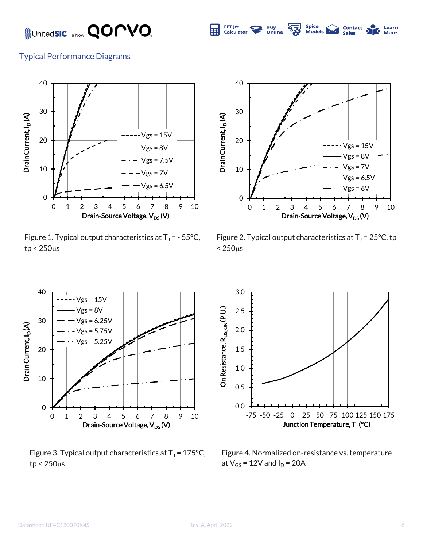

Learn

#### Typical Performance Diagrams



Figure 1. Typical output characteristics at  $T_J$  = - 55°C,  $tp < 250 \mu s$ 



Figure 2. Typical output characteristics at  $T_J$  = 25°C, tp  $< 250 \mu s$ 



Figure 3. Typical output characteristics at  $T_J$  = 175°C,  $tp < 250 \mu s$ 



Figure 4. Normalized on-resistance vs. temperature at  $V_{GS}$  = 12V and  $I_D$  = 20A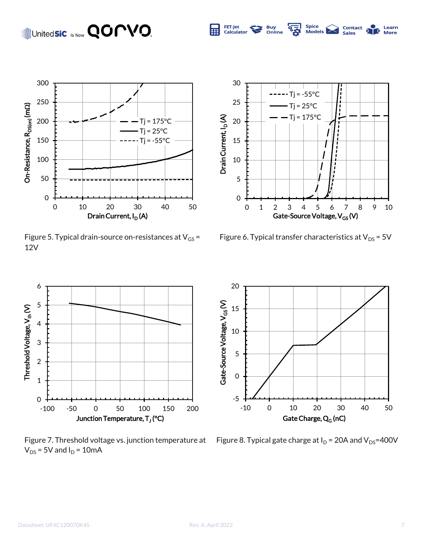

Figure 5. Typical drain-source on-resistances at  $V_{GS}$  = 12V



Spice<br>Models

**Contact**<br>Sales

Learn **More** 

FET-Jet<br>Calculator

**Buy**<br>Online

 $\frac{1}{2}$ 

Figure 6. Typical transfer characteristics at  $V_{DS}$  = 5V



Figure 7. Threshold voltage vs. junction temperature at  $V_{DS}$  = 5V and  $I_D$  = 10mA



Figure 8. Typical gate charge at  $I_D$  = 20A and  $V_{DS}$ =400V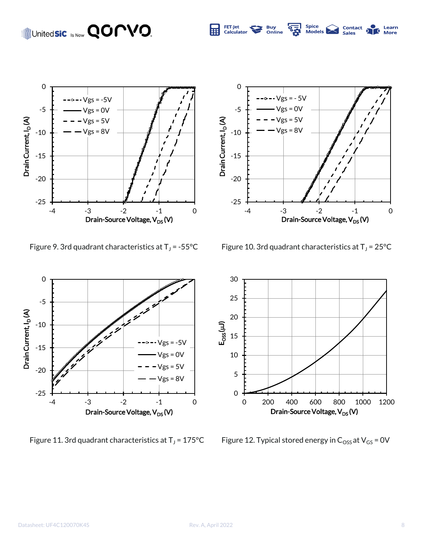

0  $\text{-} \vee$ gs = - 5 $\vee$ -5  $Vgs = 0V$  $Vgs = 5V$ Drain Current, I<sub>D</sub>(A) Drain Current, I<sub>D</sub> (A)  $Vgs = 8V$ -10 -15 -20 -25 -4 -3 -2 -1 0 Drain-Source Voltage, V<sub>DS</sub> (V)

Spice<br>Models

**Contact**<br>Sales

Learn

FET-Jet<br>Calculator

**Buy**<br>Online

 $\sqrt[6]{\frac{1}{2}}$ 

Figure 9. 3rd quadrant characteristics at  $T_J$  = -55°C

Figure 10. 3rd quadrant characteristics at  $T_J$  = 25°C



Figure 11. 3rd quadrant characteristics at  $T_J$  = 175°C



Figure 12. Typical stored energy in  $C_{\text{OSS}}$  at  $V_{\text{GS}}$  = 0V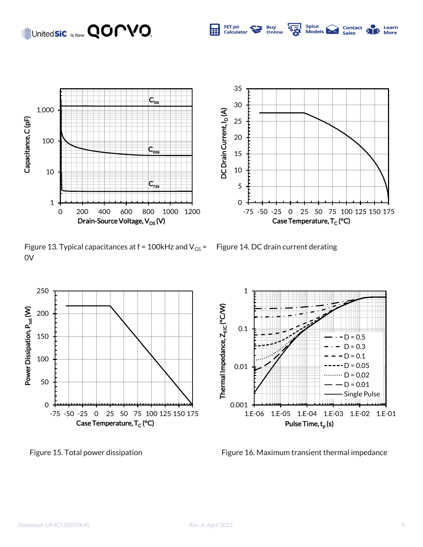

Figure 13. Typical capacitances at  $f = 100$ kHz and  $V_{GS} =$  Figure 14. DC drain current derating 0V







Figure 15. Total power dissipation Figure 16. Maximum transient thermal impedance

5 10 15

**Buy**<br>Online

FET-Jet<br>Calculator



Spice<br>Models |

**Contact**<br>Sales

Learn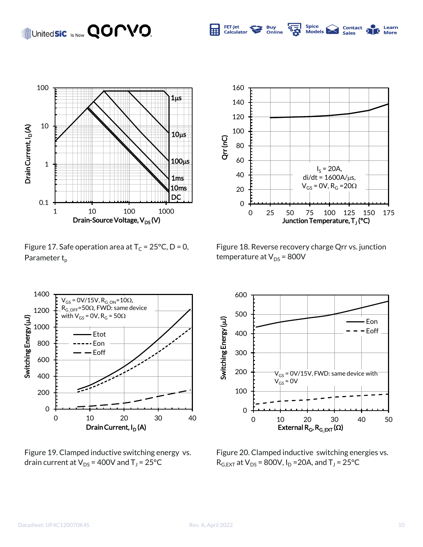

Figure 17. Safe operation area at  $T_c = 25^{\circ}C$ , D = 0, Parameter  $t_{p}$ 



Spice<br>Models

**Contact**<br>Sales

Learn

**More** 

FET-Jet

Calculator

**Buy**<br>Online

 $\frac{1}{2}$ 

Figure 18. Reverse recovery charge Qrr vs. junction temperature at  $V_{DS}$  = 800V



Figure 19. Clamped inductive switching energy vs. drain current at  $\mathsf{V}_\mathsf{DS}$  = 400V and T $_\mathsf{J}$  = 25°C



Figure 20. Clamped inductive switching energies vs.  $R_{G,EXT}$  at  $V_{DS}$  = 800V, I<sub>D</sub> = 20A, and T<sub>J</sub> = 25°C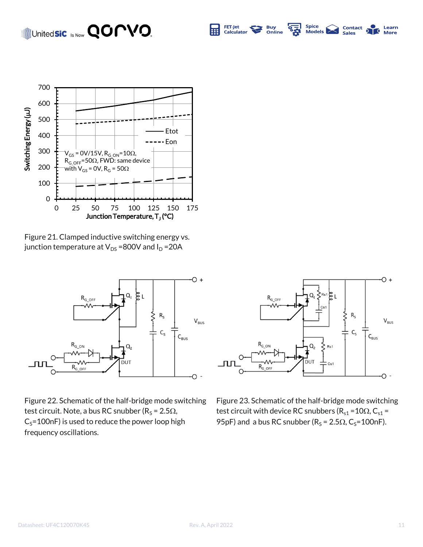#### Spice<br>Models United**sic** Is Now **QOMVO** FET-Jet **Buy**<br>Online  $\overline{\mathbf{e}_{\mathbf{z}}}$ **Contact** Learn Calculator **Sales More**



Figure 21. Clamped inductive switching energy vs. junction temperature at  $V_{DS}$  =800V and  $I_D$  =20A



Figure 22. Schematic of the half-bridge mode switching test circuit. Note, a bus RC snubber (R<sub>S</sub> = 2.5 $\Omega$ ,  $C_S$ =100nF) is used to reduce the power loop high frequency oscillations.



Figure 23. Schematic of the half-bridge mode switching test circuit with device RC snubbers ( $R_{s1}$  = 10 $\Omega$ , C<sub>s1</sub> = 95pF) and a bus RC snubber ( $R_s = 2.5\Omega$ , C<sub>s</sub>=100nF).